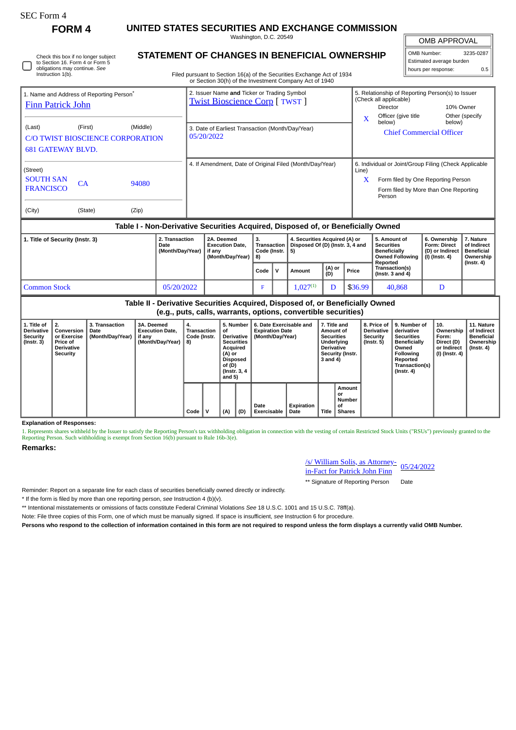| SEC Form 4                                                                                                                                                                                                                                                                  | <b>FORM 4</b> |  |                        |                                                                                    |                                                                                                                                                                                  |                                                                                                                                           | UNITED STATES SECURITIES AND EXCHANGE COMMISSION                                                                                                |             |                                                                         |        |                                                                                                                   |       |                                                                                                                                                              |                                                     |                                                                                                                                                |                     |                                                                             |                                                                                 |  |
|-----------------------------------------------------------------------------------------------------------------------------------------------------------------------------------------------------------------------------------------------------------------------------|---------------|--|------------------------|------------------------------------------------------------------------------------|----------------------------------------------------------------------------------------------------------------------------------------------------------------------------------|-------------------------------------------------------------------------------------------------------------------------------------------|-------------------------------------------------------------------------------------------------------------------------------------------------|-------------|-------------------------------------------------------------------------|--------|-------------------------------------------------------------------------------------------------------------------|-------|--------------------------------------------------------------------------------------------------------------------------------------------------------------|-----------------------------------------------------|------------------------------------------------------------------------------------------------------------------------------------------------|---------------------|-----------------------------------------------------------------------------|---------------------------------------------------------------------------------|--|
|                                                                                                                                                                                                                                                                             |               |  | Washington, D.C. 20549 |                                                                                    |                                                                                                                                                                                  |                                                                                                                                           |                                                                                                                                                 |             |                                                                         |        |                                                                                                                   |       |                                                                                                                                                              |                                                     |                                                                                                                                                | <b>OMB APPROVAL</b> |                                                                             |                                                                                 |  |
| Check this box if no longer subject<br>to Section 16. Form 4 or Form 5<br>obligations may continue. See<br>Instruction 1(b).                                                                                                                                                |               |  |                        |                                                                                    | STATEMENT OF CHANGES IN BENEFICIAL OWNERSHIP<br>Filed pursuant to Section 16(a) of the Securities Exchange Act of 1934<br>or Section 30(h) of the Investment Company Act of 1940 |                                                                                                                                           |                                                                                                                                                 |             |                                                                         |        |                                                                                                                   |       |                                                                                                                                                              |                                                     |                                                                                                                                                |                     | OMB Number:<br>3235-0287<br>Estimated average burden<br>hours per response: |                                                                                 |  |
| 1. Name and Address of Reporting Person <sup>®</sup><br><b>Finn Patrick John</b>                                                                                                                                                                                            |               |  |                        | 2. Issuer Name and Ticker or Trading Symbol<br><b>Twist Bioscience Corp [TWST]</b> |                                                                                                                                                                                  |                                                                                                                                           |                                                                                                                                                 |             |                                                                         |        |                                                                                                                   |       | 5. Relationship of Reporting Person(s) to Issuer<br>(Check all applicable)<br><b>Director</b><br>10% Owner<br>Officer (give title<br>Other (specify<br>X     |                                                     |                                                                                                                                                |                     |                                                                             |                                                                                 |  |
| (Middle)<br>(Last)<br>(First)<br><b>C/O TWIST BIOSCIENCE CORPORATION</b><br><b>681 GATEWAY BLVD.</b>                                                                                                                                                                        |               |  |                        |                                                                                    |                                                                                                                                                                                  | 3. Date of Earliest Transaction (Month/Day/Year)<br>05/20/2022                                                                            |                                                                                                                                                 |             |                                                                         |        |                                                                                                                   |       |                                                                                                                                                              | below)<br>below)<br><b>Chief Commercial Officer</b> |                                                                                                                                                |                     |                                                                             |                                                                                 |  |
| (Street)<br><b>SOUTH SAN</b><br>CA<br>94080<br><b>FRANCISCO</b>                                                                                                                                                                                                             |               |  |                        | 4. If Amendment, Date of Original Filed (Month/Day/Year)                           |                                                                                                                                                                                  |                                                                                                                                           |                                                                                                                                                 |             |                                                                         |        |                                                                                                                   |       | 6. Individual or Joint/Group Filing (Check Applicable<br>Line)<br>Form filed by One Reporting Person<br>X<br>Form filed by More than One Reporting<br>Person |                                                     |                                                                                                                                                |                     |                                                                             |                                                                                 |  |
| (Zip)<br>(City)<br>(State)                                                                                                                                                                                                                                                  |               |  |                        |                                                                                    | Table I - Non-Derivative Securities Acquired, Disposed of, or Beneficially Owned                                                                                                 |                                                                                                                                           |                                                                                                                                                 |             |                                                                         |        |                                                                                                                   |       |                                                                                                                                                              |                                                     |                                                                                                                                                |                     |                                                                             |                                                                                 |  |
|                                                                                                                                                                                                                                                                             |               |  |                        |                                                                                    |                                                                                                                                                                                  |                                                                                                                                           |                                                                                                                                                 |             |                                                                         |        |                                                                                                                   |       |                                                                                                                                                              |                                                     |                                                                                                                                                |                     |                                                                             |                                                                                 |  |
| 2. Transaction<br>1. Title of Security (Instr. 3)<br>Date<br>(Month/Day/Year)                                                                                                                                                                                               |               |  |                        | 2A. Deemed<br><b>Execution Date,</b><br>if any<br>(Month/Day/Year)                 |                                                                                                                                                                                  |                                                                                                                                           | 3.<br>Transaction<br>Code (Instr.<br>8)                                                                                                         |             | 4. Securities Acquired (A) or<br>Disposed Of (D) (Instr. 3, 4 and<br>5) |        |                                                                                                                   |       | 5. Amount of<br><b>Securities</b><br><b>Beneficially</b><br>Reported                                                                                         |                                                     | <b>Owned Following</b>                                                                                                                         |                     | 6. Ownership<br><b>Form: Direct</b><br>(D) or Indirect<br>$(I)$ (Instr. 4)  | 7. Nature<br>of Indirect<br><b>Beneficial</b><br>Ownership                      |  |
|                                                                                                                                                                                                                                                                             |               |  |                        |                                                                                    |                                                                                                                                                                                  |                                                                                                                                           | Code                                                                                                                                            | $\mathbf v$ |                                                                         | Amount | (A) or<br>(D)                                                                                                     | Price |                                                                                                                                                              | Transaction(s)<br>( $Instr. 3 and 4$ )              |                                                                                                                                                |                     |                                                                             | $($ Instr. 4 $)$                                                                |  |
| <b>Common Stock</b><br>05/20/2022                                                                                                                                                                                                                                           |               |  |                        |                                                                                    |                                                                                                                                                                                  |                                                                                                                                           |                                                                                                                                                 | F           |                                                                         |        | $1.027^{(1)}$                                                                                                     | D     | \$36.99                                                                                                                                                      |                                                     |                                                                                                                                                | 40.868              |                                                                             | D                                                                               |  |
|                                                                                                                                                                                                                                                                             |               |  |                        |                                                                                    |                                                                                                                                                                                  |                                                                                                                                           | Table II - Derivative Securities Acquired, Disposed of, or Beneficially Owned<br>(e.g., puts, calls, warrants, options, convertible securities) |             |                                                                         |        |                                                                                                                   |       |                                                                                                                                                              |                                                     |                                                                                                                                                |                     |                                                                             |                                                                                 |  |
| 2.<br>3. Transaction<br>3A. Deemed<br>1. Title of<br><b>Derivative</b><br>Conversion<br><b>Execution Date,</b><br>Date<br>(Month/Day/Year)<br>or Exercise<br>Security<br>if anv<br>(Month/Day/Year)<br>$($ Instr. 3 $)$<br>Price of<br><b>Derivative</b><br><b>Security</b> |               |  |                        | 4.<br><b>Transaction</b><br>Code (Instr.<br>8)                                     |                                                                                                                                                                                  | 5. Number<br>οf<br><b>Derivative</b><br><b>Securities</b><br>Acquired<br>(A) or<br><b>Disposed</b><br>of (D)<br>(Instr. 3, 4)<br>and $5)$ | 6. Date Exercisable and<br><b>Expiration Date</b><br>(Month/Day/Year)                                                                           |             |                                                                         |        | 7. Title and<br>Amount of<br><b>Securities</b><br>Underlying<br><b>Derivative</b><br>Security (Instr.<br>3 and 4) |       | 8. Price of<br><b>Derivative</b><br><b>Security</b><br>$($ Instr. 5 $)$                                                                                      |                                                     | 9. Number of<br>derivative<br><b>Securities</b><br><b>Beneficially</b><br>Owned<br>Following<br>Reported<br>Transaction(s)<br>$($ Instr. 4 $)$ |                     | 10.<br>Ownership<br>Form:<br>Direct (D)<br>or Indirect<br>(I) (Instr. 4)    | 11. Nature<br>of Indirect<br><b>Beneficial</b><br>Ownership<br>$($ lnstr. 4 $)$ |  |

**Explanation of Responses:**

1. Represents shares withheld by the Issuer to satisfy the Reporting Person's tax withholding obligation in connection with the vesting of certain Restricted Stock Units ("RSUs") previously granted to the<br>Reporting Person.

**Date Exercisable**

**Expiration Date Title**

**Code V (A) (D)**

**Remarks:**

/s/ William Solis, as Attorney-<u>in-Fact for Patrick John Finn</u> 05/24/2022

**Amount or Number of Shares**

\*\* Signature of Reporting Person Date

Reminder: Report on a separate line for each class of securities beneficially owned directly or indirectly.

\* If the form is filed by more than one reporting person, *see* Instruction 4 (b)(v).

\*\* Intentional misstatements or omissions of facts constitute Federal Criminal Violations *See* 18 U.S.C. 1001 and 15 U.S.C. 78ff(a).

Note: File three copies of this Form, one of which must be manually signed. If space is insufficient, *see* Instruction 6 for procedure.

**Persons who respond to the collection of information contained in this form are not required to respond unless the form displays a currently valid OMB Number.**